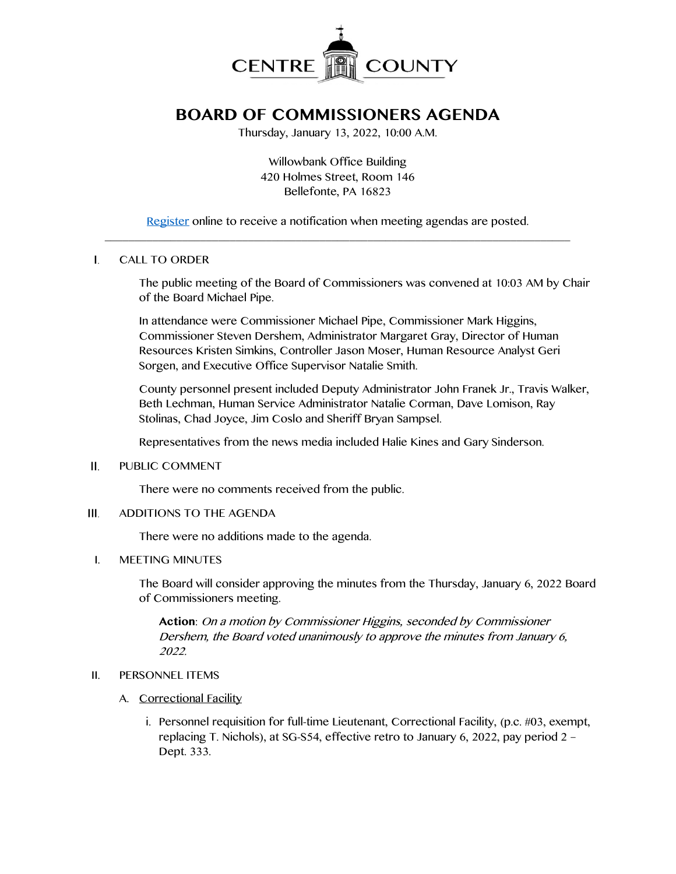

# **BOARD OF COMMISSIONERS AGENDA**

Thursday, January 13, 2022, 10:00 A.M.

Willowbank Office Building 420 Holmes Street, Room 146 Bellefonte, PA 16823

[Register](http://www.centrecountypa.gov/AgendaCenter) online to receive a notification when meeting agendas are posted.  $\mathcal{L} = \{ \mathcal{L} = \{ \mathcal{L} \mid \mathcal{L} = \{ \mathcal{L} \mid \mathcal{L} = \{ \mathcal{L} \mid \mathcal{L} = \{ \mathcal{L} \mid \mathcal{L} = \{ \mathcal{L} \mid \mathcal{L} = \{ \mathcal{L} \mid \mathcal{L} = \{ \mathcal{L} \mid \mathcal{L} = \{ \mathcal{L} \mid \mathcal{L} = \{ \mathcal{L} \mid \mathcal{L} = \{ \mathcal{L} \mid \mathcal{L} = \{ \mathcal{L} \mid \mathcal{L} = \{ \mathcal{L} \mid \mathcal{L} =$ 

### $\mathbf{L}$ CALL TO ORDER

The public meeting of the Board of Commissioners was convened at 10:03 AM by Chair of the Board Michael Pipe.

In attendance were Commissioner Michael Pipe, Commissioner Mark Higgins, Commissioner Steven Dershem, Administrator Margaret Gray, Director of Human Resources Kristen Simkins, Controller Jason Moser, Human Resource Analyst Geri Sorgen, and Executive Office Supervisor Natalie Smith.

County personnel present included Deputy Administrator John Franek Jr., Travis Walker, Beth Lechman, Human Service Administrator Natalie Corman, Dave Lomison, Ray Stolinas, Chad Joyce, Jim Coslo and Sheriff Bryan Sampsel.

Representatives from the news media included Halie Kines and Gary Sinderson.

#### II. PUBLIC COMMENT

There were no comments received from the public.

#### $III.$ ADDITIONS TO THE AGENDA

There were no additions made to the agenda.

### I. MEETING MINUTES

The Board will consider approving the minutes from the Thursday, January 6, 2022 Board of Commissioners meeting.

**Action**: On a motion by Commissioner Higgins, seconded by Commissioner Dershem, the Board voted unanimously to approve the minutes from January 6, 2022.

# II. PERSONNEL ITEMS

### A. Correctional Facility

i. Personnel requisition for full-time Lieutenant, Correctional Facility, (p.c. #03, exempt, replacing T. Nichols), at SG-S54, effective retro to January 6, 2022, pay period 2 – Dept. 333.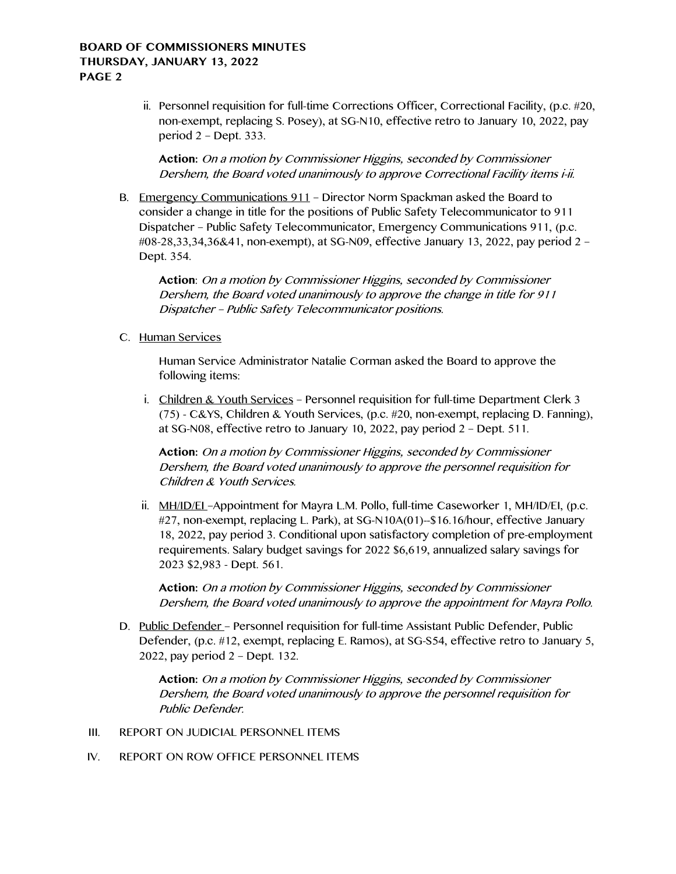# **BOARD OF COMMISSIONERS MINUTES THURSDAY, JANUARY 13, 2022 PAGE 2**

ii. Personnel requisition for full-time Corrections Officer, Correctional Facility, (p.c. #20, non-exempt, replacing S. Posey), at SG-N10, effective retro to January 10, 2022, pay period 2 – Dept. 333.

**Action:** On a motion by Commissioner Higgins, seconded by Commissioner Dershem, the Board voted unanimously to approve Correctional Facility items i-ii.

B. Emergency Communications 911 – Director Norm Spackman asked the Board to consider a change in title for the positions of Public Safety Telecommunicator to 911 Dispatcher – Public Safety Telecommunicator, Emergency Communications 911, (p.c. #08-28,33,34,36&41, non-exempt), at SG-N09, effective January 13, 2022, pay period 2 – Dept. 354.

**Action**: On a motion by Commissioner Higgins, seconded by Commissioner Dershem, the Board voted unanimously to approve the change in title for 911 Dispatcher – Public Safety Telecommunicator positions.

C. Human Services

Human Service Administrator Natalie Corman asked the Board to approve the following items:

i. Children & Youth Services – Personnel requisition for full-time Department Clerk 3 (75) - C&YS, Children & Youth Services, (p.c. #20, non-exempt, replacing D. Fanning), at SG-N08, effective retro to January 10, 2022, pay period 2 – Dept. 511.

**Action:** On a motion by Commissioner Higgins, seconded by Commissioner Dershem, the Board voted unanimously to approve the personnel requisition for Children & Youth Services.

ii. MH/ID/EI –Appointment for Mayra L.M. Pollo, full-time Caseworker 1, MH/ID/EI, (p.c. #27, non-exempt, replacing L. Park), at SG-N10A(01)--\$16.16/hour, effective January 18, 2022, pay period 3. Conditional upon satisfactory completion of pre-employment requirements. Salary budget savings for 2022 \$6,619, annualized salary savings for 2023 \$2,983 - Dept. 561.

**Action:** On a motion by Commissioner Higgins, seconded by Commissioner Dershem, the Board voted unanimously to approve the appointment for Mayra Pollo.

D. Public Defender – Personnel requisition for full-time Assistant Public Defender, Public Defender, (p.c. #12, exempt, replacing E. Ramos), at SG-S54, effective retro to January 5, 2022, pay period 2 – Dept. 132.

**Action:** On a motion by Commissioner Higgins, seconded by Commissioner Dershem, the Board voted unanimously to approve the personnel requisition for Public Defender.

- III. REPORT ON JUDICIAL PERSONNEL ITEMS
- IV. REPORT ON ROW OFFICE PERSONNEL ITEMS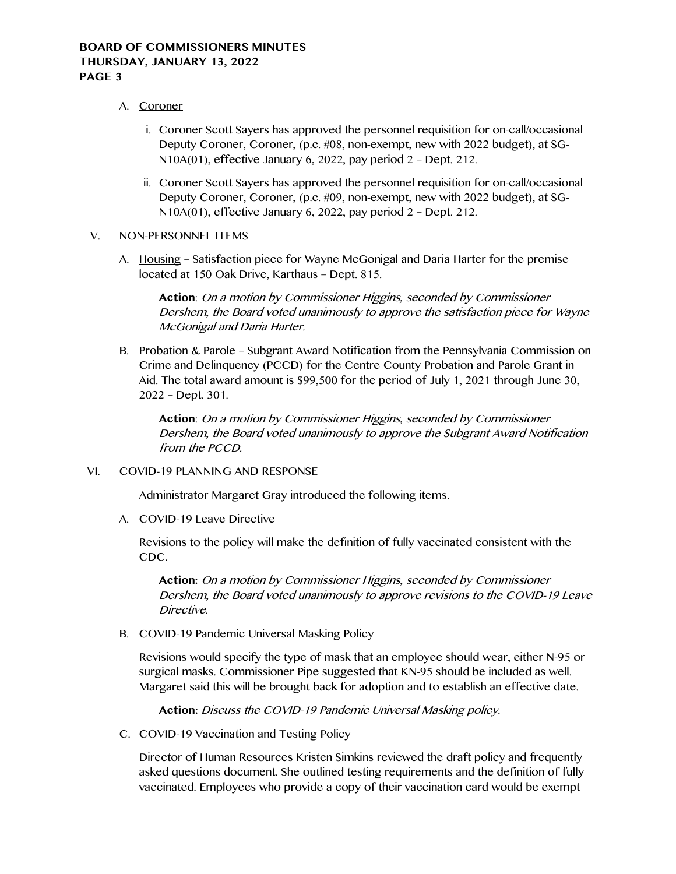- A. Coroner
	- i. Coroner Scott Sayers has approved the personnel requisition for on-call/occasional Deputy Coroner, Coroner, (p.c. #08, non-exempt, new with 2022 budget), at SG-N10A(01), effective January 6, 2022, pay period 2 – Dept. 212.
	- ii. Coroner Scott Sayers has approved the personnel requisition for on-call/occasional Deputy Coroner, Coroner, (p.c. #09, non-exempt, new with 2022 budget), at SG-N10A(01), effective January 6, 2022, pay period 2 – Dept. 212.
- V. NON-PERSONNEL ITEMS
	- A. Housing Satisfaction piece for Wayne McGonigal and Daria Harter for the premise located at 150 Oak Drive, Karthaus – Dept. 815.

**Action**: On a motion by Commissioner Higgins, seconded by Commissioner Dershem, the Board voted unanimously to approve the satisfaction piece for Wayne McGonigal and Daria Harter.

B. Probation & Parole – Subgrant Award Notification from the Pennsylvania Commission on Crime and Delinquency (PCCD) for the Centre County Probation and Parole Grant in Aid. The total award amount is \$99,500 for the period of July 1, 2021 through June 30, 2022 – Dept. 301.

**Action**: On a motion by Commissioner Higgins, seconded by Commissioner Dershem, the Board voted unanimously to approve the Subgrant Award Notification from the PCCD.

VI. COVID-19 PLANNING AND RESPONSE

Administrator Margaret Gray introduced the following items.

A. COVID-19 Leave Directive

Revisions to the policy will make the definition of fully vaccinated consistent with the CDC.

**Action:** On a motion by Commissioner Higgins, seconded by Commissioner Dershem, the Board voted unanimously to approve revisions to the COVID-19 Leave Directive.

B. COVID-19 Pandemic Universal Masking Policy

Revisions would specify the type of mask that an employee should wear, either N-95 or surgical masks. Commissioner Pipe suggested that KN-95 should be included as well. Margaret said this will be brought back for adoption and to establish an effective date.

**Action:** Discuss the COVID-19 Pandemic Universal Masking policy.

C. COVID-19 Vaccination and Testing Policy

Director of Human Resources Kristen Simkins reviewed the draft policy and frequently asked questions document. She outlined testing requirements and the definition of fully vaccinated. Employees who provide a copy of their vaccination card would be exempt